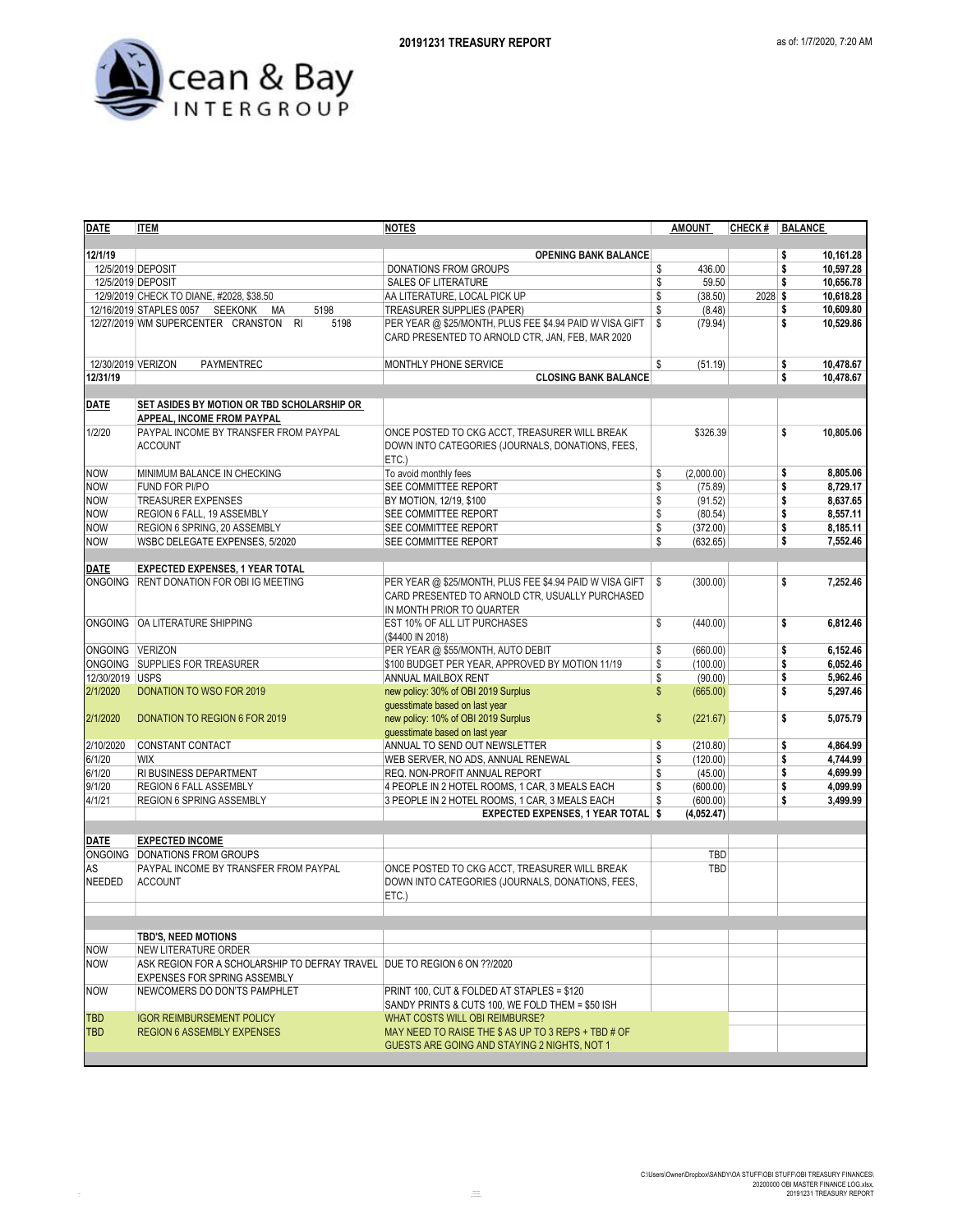

| <b>DATE</b>        | <b>ITEM</b>                                                              | <b>NOTES</b>                                            | <b>AMOUNT</b>    | CHECK #   BALANCE |                 |
|--------------------|--------------------------------------------------------------------------|---------------------------------------------------------|------------------|-------------------|-----------------|
|                    |                                                                          |                                                         |                  |                   |                 |
| 12/1/19            |                                                                          | <b>OPENING BANK BALANCE</b>                             |                  |                   | 10,161.28<br>\$ |
|                    | 12/5/2019 DEPOSIT                                                        | DONATIONS FROM GROUPS                                   | \$<br>436.00     |                   | 10,597.28<br>\$ |
|                    | 12/5/2019 DEPOSIT                                                        | <b>SALES OF LITERATURE</b>                              | \$<br>59.50      |                   | 10,656.78<br>\$ |
|                    | 12/9/2019 CHECK TO DIANE, #2028, \$38.50                                 | AA LITERATURE, LOCAL PICK UP                            | \$<br>(38.50)    | 2028 \$           | 10,618.28       |
|                    | 12/16/2019 STAPLES 0057 SEEKONK MA<br>5198                               | <b>TREASURER SUPPLIES (PAPER)</b>                       | \$<br>(8.48)     |                   | 10,609.80<br>\$ |
|                    | 5198<br>12/27/2019 WM SUPERCENTER CRANSTON RI                            | PER YEAR @ \$25/MONTH, PLUS FEE \$4.94 PAID W VISA GIFT | \$<br>(79.94)    |                   | \$<br>10,529.86 |
|                    |                                                                          | CARD PRESENTED TO ARNOLD CTR, JAN, FEB, MAR 2020        |                  |                   |                 |
|                    |                                                                          |                                                         |                  |                   |                 |
| 12/30/2019 VERIZON | PAYMENTREC                                                               | MONTHLY PHONE SERVICE                                   | \$<br>(51.19)    |                   | 10,478.67<br>\$ |
| 12/31/19           |                                                                          | <b>CLOSING BANK BALANCE</b>                             |                  |                   | \$<br>10,478.67 |
|                    |                                                                          |                                                         |                  |                   |                 |
| <b>DATE</b>        | SET ASIDES BY MOTION OR TBD SCHOLARSHIP OR                               |                                                         |                  |                   |                 |
|                    | APPEAL, INCOME FROM PAYPAL                                               |                                                         |                  |                   |                 |
| 1/2/20             | PAYPAL INCOME BY TRANSFER FROM PAYPAL                                    | ONCE POSTED TO CKG ACCT, TREASURER WILL BREAK           | \$326.39         |                   | \$<br>10,805.06 |
|                    | <b>ACCOUNT</b>                                                           | DOWN INTO CATEGORIES (JOURNALS, DONATIONS, FEES,        |                  |                   |                 |
|                    |                                                                          | ETC.                                                    |                  |                   |                 |
| <b>NOW</b>         | MINIMUM BALANCE IN CHECKING                                              | To avoid monthly fees                                   | \$<br>(2,000.00) |                   | \$<br>8,805.06  |
| <b>NOW</b>         | FUND FOR PI/PO                                                           | SEE COMMITTEE REPORT                                    | \$<br>(75.89)    |                   | \$<br>8,729.17  |
| <b>NOW</b>         | <b>TREASURER EXPENSES</b>                                                | BY MOTION, 12/19, \$100                                 | \$<br>(91.52)    |                   | \$<br>8,637.65  |
| <b>NOW</b>         | REGION 6 FALL, 19 ASSEMBLY                                               | SEE COMMITTEE REPORT                                    | \$<br>(80.54)    |                   | 8,557.11<br>\$  |
| <b>NOW</b>         | REGION 6 SPRING, 20 ASSEMBLY                                             | SEE COMMITTEE REPORT                                    | \$<br>(372.00)   |                   | 8,185.11<br>\$  |
| <b>NOW</b>         | WSBC DELEGATE EXPENSES, 5/2020                                           | SEE COMMITTEE REPORT                                    | \$<br>(632.65)   |                   | \$<br>7,552.46  |
|                    |                                                                          |                                                         |                  |                   |                 |
| <b>DATE</b>        | <b>EXPECTED EXPENSES, 1 YEAR TOTAL</b>                                   |                                                         |                  |                   |                 |
|                    | ONGOING RENT DONATION FOR OBI IG MEETING                                 | PER YEAR @ \$25/MONTH, PLUS FEE \$4.94 PAID W VISA GIFT | \$<br>(300.00)   |                   | \$<br>7,252.46  |
|                    |                                                                          | CARD PRESENTED TO ARNOLD CTR, USUALLY PURCHASED         |                  |                   |                 |
|                    |                                                                          | IN MONTH PRIOR TO QUARTER                               |                  |                   |                 |
|                    | ONGOING OA LITERATURE SHIPPING                                           |                                                         | \$               |                   | \$<br>6,812.46  |
|                    |                                                                          | EST 10% OF ALL LIT PURCHASES                            | (440.00)         |                   |                 |
|                    |                                                                          | (\$4400 IN 2018)                                        |                  |                   |                 |
| ONGOING VERIZON    |                                                                          | PER YEAR @ \$55/MONTH, AUTO DEBIT                       | \$<br>(660.00)   |                   | \$<br>6,152.46  |
|                    | ONGOING SUPPLIES FOR TREASURER                                           | \$100 BUDGET PER YEAR, APPROVED BY MOTION 11/19         | \$<br>(100.00)   |                   | \$<br>6,052.46  |
| 12/30/2019 USPS    |                                                                          | ANNUAL MAILBOX RENT                                     | \$<br>(90.00)    |                   | 5,962.46<br>\$  |
| 2/1/2020           | DONATION TO WSO FOR 2019                                                 | new policy: 30% of OBI 2019 Surplus                     | \$<br>(665.00)   |                   | \$<br>5,297.46  |
|                    |                                                                          | guesstimate based on last year                          |                  |                   |                 |
| 2/1/2020           | <b>DONATION TO REGION 6 FOR 2019</b>                                     | new policy: 10% of OBI 2019 Surplus                     | \$<br>(221.67)   |                   | \$<br>5,075.79  |
|                    |                                                                          | guesstimate based on last year                          |                  |                   |                 |
| 2/10/2020          | CONSTANT CONTACT                                                         | ANNUAL TO SEND OUT NEWSLETTER                           | \$<br>(210.80)   |                   | \$<br>4,864.99  |
| 6/1/20             | <b>WIX</b>                                                               | WEB SERVER, NO ADS, ANNUAL RENEWAL                      | \$<br>(120.00)   |                   | \$<br>4,744.99  |
| 6/1/20             | RI BUSINESS DEPARTMENT                                                   | REQ. NON-PROFIT ANNUAL REPORT                           | \$<br>(45.00)    |                   | 4,699.99<br>\$  |
| 9/1/20             | REGION 6 FALL ASSEMBLY                                                   | 4 PEOPLE IN 2 HOTEL ROOMS, 1 CAR, 3 MEALS EACH          | \$<br>(600.00)   |                   | \$<br>4,099.99  |
| 4/1/21             | REGION 6 SPRING ASSEMBLY                                                 | 3 PEOPLE IN 2 HOTEL ROOMS, 1 CAR, 3 MEALS EACH          | \$<br>(600.00)   |                   | \$<br>3,499.99  |
|                    |                                                                          | EXPECTED EXPENSES, 1 YEAR TOTAL \$                      | (4,052.47)       |                   |                 |
|                    |                                                                          |                                                         |                  |                   |                 |
| <b>DATE</b>        | <b>EXPECTED INCOME</b>                                                   |                                                         |                  |                   |                 |
|                    | ONGOING DONATIONS FROM GROUPS                                            |                                                         | TBD              |                   |                 |
| AS                 | PAYPAL INCOME BY TRANSFER FROM PAYPAL                                    | ONCE POSTED TO CKG ACCT, TREASURER WILL BREAK           | TBD              |                   |                 |
| <b>NEEDED</b>      | <b>ACCOUNT</b>                                                           | DOWN INTO CATEGORIES (JOURNALS, DONATIONS, FEES,        |                  |                   |                 |
|                    |                                                                          | ETC.)                                                   |                  |                   |                 |
|                    |                                                                          |                                                         |                  |                   |                 |
|                    |                                                                          |                                                         |                  |                   |                 |
|                    | <b>TBD'S, NEED MOTIONS</b>                                               |                                                         |                  |                   |                 |
| <b>NOW</b>         | NEW LITERATURE ORDER                                                     |                                                         |                  |                   |                 |
| <b>NOW</b>         | ASK REGION FOR A SCHOLARSHIP TO DEFRAY TRAVEL DUE TO REGION 6 ON ??/2020 |                                                         |                  |                   |                 |
|                    | <b>EXPENSES FOR SPRING ASSEMBLY</b>                                      |                                                         |                  |                   |                 |
| <b>NOW</b>         | NEWCOMERS DO DON'TS PAMPHLET                                             | PRINT 100, CUT & FOLDED AT STAPLES = \$120              |                  |                   |                 |
|                    |                                                                          | SANDY PRINTS & CUTS 100, WE FOLD THEM = \$50 ISH        |                  |                   |                 |
| <b>TBD</b>         | <b>IGOR REIMBURSEMENT POLICY</b>                                         | WHAT COSTS WILL OBI REIMBURSE?                          |                  |                   |                 |
| <b>TBD</b>         | <b>REGION 6 ASSEMBLY EXPENSES</b>                                        | MAY NEED TO RAISE THE \$ AS UP TO 3 REPS + TBD # OF     |                  |                   |                 |
|                    |                                                                          | GUESTS ARE GOING AND STAYING 2 NIGHTS, NOT 1            |                  |                   |                 |
|                    |                                                                          |                                                         |                  |                   |                 |